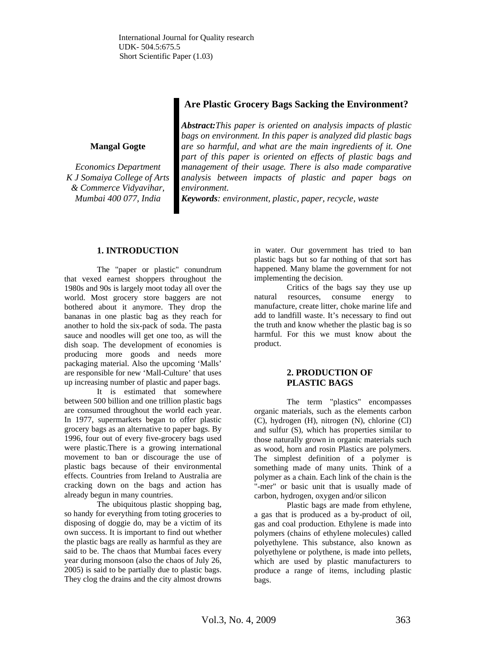# **Are Plastic Grocery Bags Sacking the Environment?**

#### **Mangal Gogte**

*Economics Department K J Somaiya College of Arts & Commerce Vidyavihar, Mumbai 400 077, India*

*Abstract:This paper is oriented on analysis impacts of plastic bags on environment. In this paper is analyzed did plastic bags are so harmful, and what are the main ingredients of it. One part of this paper is oriented on effects of plastic bags and management of their usage. There is also made comparative analysis between impacts of plastic and paper bags on environment.* 

*Keywords: environment, plastic, paper, recycle, waste* 

## **1. INTRODUCTION**

The "paper or plastic" conundrum that vexed earnest shoppers throughout the 1980s and 90s is largely moot today all over the world. Most grocery store baggers are not bothered about it anymore. They drop the bananas in one plastic bag as they reach for another to hold the six-pack of soda. The pasta sauce and noodles will get one too, as will the dish soap. The development of economies is producing more goods and needs more packaging material. Also the upcoming 'Malls' are responsible for new 'Mall-Culture' that uses up increasing number of plastic and paper bags.

It is estimated that somewhere between 500 billion and one trillion plastic bags are consumed throughout the world each year. In 1977, supermarkets began to offer plastic grocery bags as an alternative to paper bags. By 1996, four out of every five-grocery bags used were plastic.There is a growing international movement to ban or discourage the use of plastic bags because of their environmental effects. Countries from Ireland to Australia are cracking down on the bags and action has already begun in many countries.

The ubiquitous plastic shopping bag, so handy for everything from toting groceries to disposing of doggie do, may be a victim of its own success. It is important to find out whether the plastic bags are really as harmful as they are said to be. The chaos that Mumbai faces every year during monsoon (also the chaos of July 26, 2005) is said to be partially due to plastic bags. They clog the drains and the city almost drowns

in water. Our government has tried to ban plastic bags but so far nothing of that sort has happened. Many blame the government for not implementing the decision.

Critics of the bags say they use up natural resources, consume energy to manufacture, create litter, choke marine life and add to landfill waste. It's necessary to find out the truth and know whether the plastic bag is so harmful. For this we must know about the product.

## **2. PRODUCTION OF PLASTIC BAGS**

The term "plastics" encompasses organic materials, such as the elements carbon (C), hydrogen (H), nitrogen (N), chlorine (Cl) and sulfur (S), which has properties similar to those naturally grown in organic materials such as wood, horn and rosin Plastics are polymers. The simplest definition of a polymer is something made of many units. Think of a polymer as a chain. Each link of the chain is the "-mer" or basic unit that is usually made of carbon, hydrogen, oxygen and/or silicon

Plastic bags are made from ethylene, a gas that is produced as a by-product of oil, gas and coal production. Ethylene is made into polymers (chains of ethylene molecules) called polyethylene. This substance, also known as polyethylene or polythene, is made into pellets, which are used by plastic manufacturers to produce a range of items, including plastic bags.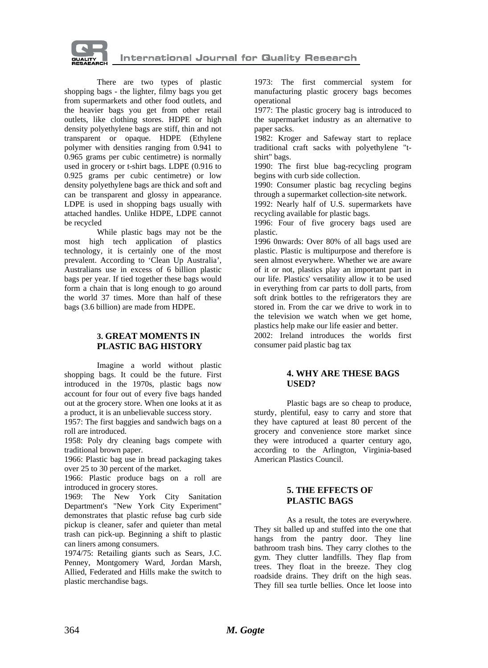

There are two types of plastic shopping bags - the lighter, filmy bags you get from supermarkets and other food outlets, and the heavier bags you get from other retail outlets, like clothing stores. HDPE or high density polyethylene bags are stiff, thin and not transparent or opaque. HDPE (Ethylene polymer with densities ranging from 0.941 to 0.965 grams per cubic centimetre) is normally used in grocery or t-shirt bags. LDPE (0.916 to 0.925 grams per cubic centimetre) or low density polyethylene bags are thick and soft and can be transparent and glossy in appearance. LDPE is used in shopping bags usually with attached handles. Unlike HDPE, LDPE cannot be recycled

While plastic bags may not be the most high tech application of plastics technology, it is certainly one of the most prevalent. According to 'Clean Up Australia', Australians use in excess of 6 billion plastic bags per year. If tied together these bags would form a chain that is long enough to go around the world 37 times. More than half of these bags (3.6 billion) are made from HDPE.

#### **3. GREAT MOMENTS IN PLASTIC BAG HISTORY**

Imagine a world without plastic shopping bags. It could be the future. First introduced in the 1970s, plastic bags now account for four out of every five bags handed out at the grocery store. When one looks at it as a product, it is an unbelievable success story.

1957: The first baggies and sandwich bags on a roll are introduced.

1958: Poly dry cleaning bags compete with traditional brown paper.

1966: Plastic bag use in bread packaging takes over 25 to 30 percent of the market.

1966: Plastic produce bags on a roll are introduced in grocery stores.

1969: The New York City Sanitation Department's "New York City Experiment" demonstrates that plastic refuse bag curb side pickup is cleaner, safer and quieter than metal trash can pick-up. Beginning a shift to plastic can liners among consumers.

1974/75: Retailing giants such as Sears, J.C. Penney, Montgomery Ward, Jordan Marsh, Allied, Federated and Hills make the switch to plastic merchandise bags.

1973: The first commercial system for manufacturing plastic grocery bags becomes operational

1977: The plastic grocery bag is introduced to the supermarket industry as an alternative to paper sacks.

1982: Kroger and Safeway start to replace traditional craft sacks with polyethylene "tshirt" bags.

1990: The first blue bag-recycling program begins with curb side collection.

1990: Consumer plastic bag recycling begins through a supermarket collection-site network.

1992: Nearly half of U.S. supermarkets have recycling available for plastic bags.

1996: Four of five grocery bags used are plastic.

1996 0nwards: Over 80% of all bags used are plastic. Plastic is multipurpose and therefore is seen almost everywhere. Whether we are aware of it or not, plastics play an important part in our life. Plastics' versatility allow it to be used in everything from car parts to doll parts, from soft drink bottles to the refrigerators they are stored in. From the car we drive to work in to the television we watch when we get home, plastics help make our life easier and better.

2002: Ireland introduces the worlds first consumer paid plastic bag tax

### **4. WHY ARE THESE BAGS USED?**

Plastic bags are so cheap to produce, sturdy, plentiful, easy to carry and store that they have captured at least 80 percent of the grocery and convenience store market since they were introduced a quarter century ago, according to the Arlington, Virginia-based American Plastics Council.

#### **5. THE EFFECTS OF PLASTIC BAGS**

As a result, the totes are everywhere. They sit balled up and stuffed into the one that hangs from the pantry door. They line bathroom trash bins. They carry clothes to the gym. They clutter landfills. They flap from trees. They float in the breeze. They clog roadside drains. They drift on the high seas. They fill sea turtle bellies. Once let loose into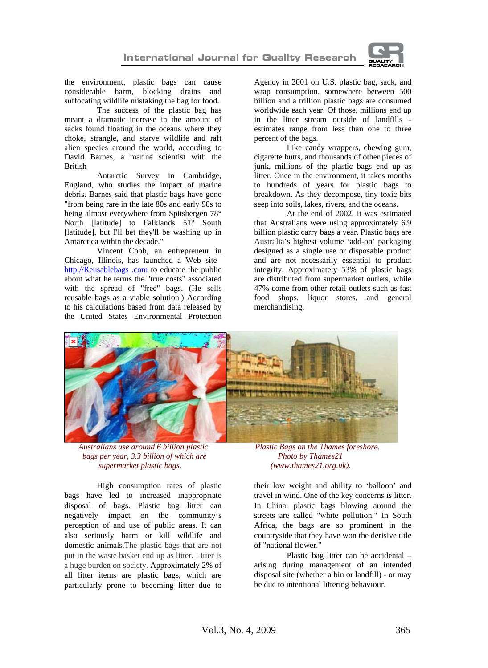

the environment, plastic bags can cause considerable harm, blocking drains and suffocating wildlife mistaking the bag for food.

The success of the plastic bag has meant a dramatic increase in the amount of sacks found floating in the oceans where they choke, strangle, and starve wildlife and raft alien species around the world, according to David Barnes, a marine scientist with the British

Antarctic Survey in Cambridge, England, who studies the impact of marine debris. Barnes said that plastic bags have gone "from being rare in the late 80s and early 90s to being almost everywhere from Spitsbergen 78° North [latitude] to Falklands 51° South [latitude], but I'll bet they'll be washing up in Antarctica within the decade."

Vincent Cobb, an entrepreneur i[n](http://reusablebags.com/)  Chicago, Illinois, has launched a Web site [http://Reusablebags .com](http://reusablebags.com/) to educate the public about what he terms the "true costs" associated with the spread of "free" bags. (He sells reusable bags as a viable solution.) According to his calculations based from data released by the United States Environmental Protection

Agency in 2001 on U.S. plastic bag, sack, and wrap consumption, somewhere between 500 billion and a trillion plastic bags are consumed worldwide each year. Of those, millions end up in the litter stream outside of landfills estimates range from less than one to three percent of the bags.

Like candy wrappers, chewing gum, cigarette butts, and thousands of other pieces of junk, millions of the plastic bags end up as litter. Once in the environment, it takes months to hundreds of years for plastic bags to breakdown. As they decompose, tiny toxic bits seep into soils, lakes, rivers, and the oceans.

At the end of 2002, it was estimated that Australians were using approximately 6.9 billion plastic carry bags a year. Plastic bags are Australia's highest volume 'add-on' packaging designed as a single use or disposable product and are not necessarily essential to product integrity. Approximately 53% of plastic bags are distributed from supermarket outlets, while 47% come from other retail outlets such as fast food shops, liquor stores, and general merchandising.



 *Australians use around 6 billion plastic Plastic Bags on the Thames foreshore. bags per year, 3.3 billion of which are Photo by Thames21 supermarket plastic bags. (www.thames21.org.uk).*

High consumption rates of plastic bags have led to increased inappropriate disposal of bags. Plastic bag litter can negatively impact on the community's perception of and use of public areas. It can also seriously harm or kill wildlife and domestic animals.The plastic bags that are not put in the waste basket end up as litter. Litter is a huge burden on society. Approximately 2% of all litter items are plastic bags, which are particularly prone to becoming litter due to

their low weight and ability to 'balloon' and travel in wind. One of the key concerns is litter. In China, plastic bags blowing around the streets are called "white pollution." In South Africa, the bags are so prominent in the countryside that they have won the derisive title of "national flower."

Plastic bag litter can be accidental – arising during management of an intended disposal site (whether a bin or landfill) - or may be due to intentional littering behaviour.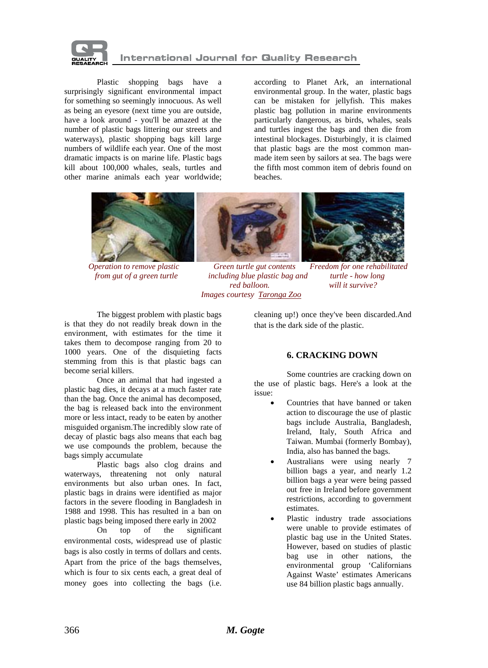

Plastic shopping bags have a surprisingly significant environmental impact for something so seemingly innocuous. As well as being an eyesore (next time you are outside, have a look around - you'll be amazed at the number of plastic bags littering our streets and waterways), plastic shopping bags kill large numbers of wildlife each year. One of the most dramatic impacts is on marine life. Plastic bags kill about 100,000 whales, seals, turtles and other marine animals each year worldwide;

according to Planet Ark, an international environmental group. In the water, plastic bags can be mistaken for jellyfish. This makes plastic bag pollution in marine environments particularly dangerous, as birds, whales, seals and turtles ingest the bags and then die from intestinal blockages. Disturbingly, it is claimed that plastic bags are the most common manmade item seen by sailors at sea. The bags were the fifth most common item of debris found on beaches.



 *Operation to remove plastic Green turtle gut contents Freedom for one rehabilitated from gut of a green turtle including blue plastic bag and turtle - how long red balloon. will it survive? Images courtesy [Taronga Zoo](http://203.42.45.40/content/view.asp?id=39)*

The biggest problem with plastic bags is that they do not readily break down in the environment, with estimates for the time it takes them to decompose ranging from 20 to 1000 years. One of the disquieting facts stemming from this is that plastic bags can become serial killers.

Once an animal that had ingested a plastic bag dies, it decays at a much faster rate than the bag. Once the animal has decomposed, the bag is released back into the environment more or less intact, ready to be eaten by another misguided organism.The incredibly slow rate of decay of plastic bags also means that each bag we use compounds the problem, because the bags simply accumulate

 Plastic bags also clog drains and waterways, threatening not only natural environments but also urban ones. In fact, plastic bags in drains were identified as major factors in the severe flooding in Bangladesh in 1988 and 1998. This has resulted in a ban on plastic bags being imposed there early in 2002

On top of the significant environmental costs, widespread use of plastic bags is also costly in terms of dollars and cents. Apart from the price of the bags themselves, which is four to six cents each, a great deal of money goes into collecting the bags (i.e.

cleaning up!) once they've been discarded.And that is the dark side of the plastic.

## **6. CRACKING DOWN**

Some countries are cracking down on the use of plastic bags. Here's a look at the issue:

- Countries that have banned or taken action to discourage the use of plastic bags include Australia, Bangladesh, Ireland, Italy, South Africa and Taiwan. Mumbai (formerly Bombay), India, also has banned the bags.
- Australians were using nearly 7 billion bags a year, and nearly 1.2 billion bags a year were being passed out free in Ireland before government restrictions, according to government estimates.
- Plastic industry trade associations were unable to provide estimates of plastic bag use in the United States. However, based on studies of plastic bag use in other nations, the environmental group 'Californians Against Waste' estimates Americans use 84 billion plastic bags annually.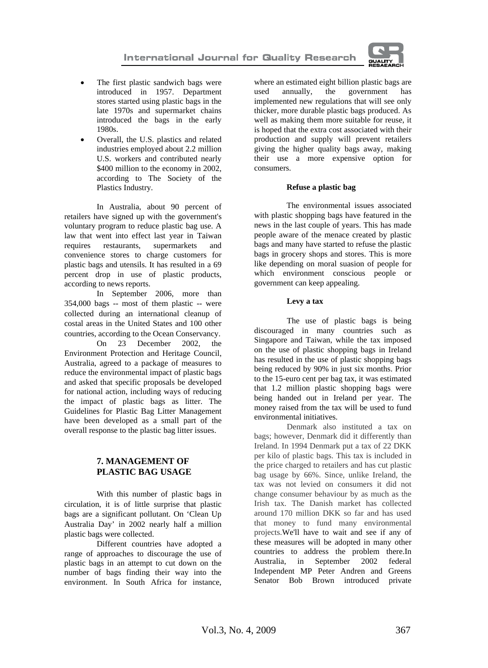

- The first plastic sandwich bags were introduced in 1957. Department stores started using plastic bags in the late 1970s and supermarket chains introduced the bags in the early 1980s.
- Overall, the U.S. plastics and related industries employed about 2.2 million U.S. workers and contributed nearly \$400 million to the economy in 2002, according to The Society of the Plastics Industry.

In Australia, about 90 percent of retailers have signed up with the government's voluntary program to reduce plastic bag use. A law that went into effect last year in Taiwan<br>requires restaurants, supermarkets and requires restaurants, supermarkets and convenience stores to charge customers for plastic bags and utensils. It has resulted in a 69 percent drop in use of plastic products, according to news reports.

In September 2006, more than 354,000 bags -- most of them plastic -- were collected during an international cleanup of costal areas in the United States and 100 other countries, according to the Ocean Conservancy.

On 23 December 2002, the Environment Protection and Heritage Council, Australia, agreed to a package of measures to reduce the environmental impact of plastic bags and asked that specific proposals be developed for national action, including ways of reducing the impact of plastic bags as litter. The Guidelines for Plastic Bag Litter Management have been developed as a small part of the overall response to the plastic bag litter issues.

# **7. MANAGEMENT OF PLASTIC BAG USAGE**

With this number of plastic bags in circulation, it is of little surprise that plastic bags are a significant pollutant. On 'Clean Up Australia Day' in 2002 nearly half a million plastic bags were collected.

Different countries have adopted a range of approaches to discourage the use of plastic bags in an attempt to cut down on the number of bags finding their way into the environment. In South Africa for instance, where an estimated eight billion plastic bags are used annually, the government has implemented new regulations that will see only thicker, more durable plastic bags produced. As well as making them more suitable for reuse, it is hoped that the extra cost associated with their production and supply will prevent retailers giving the higher quality bags away, making their use a more expensive option for consumers.

### **Refuse a plastic bag**

The environmental issues associated with plastic shopping bags have featured in the news in the last couple of years. This has made people aware of the menace created by plastic bags and many have started to refuse the plastic bags in grocery shops and stores. This is more like depending on moral suasion of people for which environment conscious people or government can keep appealing.

#### **Levy a tax**

The use of plastic bags is being discouraged in many countries such as Singapore and Taiwan, while the tax imposed on the use of plastic shopping bags in Ireland has resulted in the use of plastic shopping bags being reduced by 90% in just six months. Prior to the 15-euro cent per bag tax, it was estimated that 1.2 million plastic shopping bags were being handed out in Ireland per year. The money raised from the tax will be used to fund environmental initiatives.

Denmark also instituted a tax on bags; however, Denmark did it differently than Ireland. In 1994 Denmark put a tax of 22 DKK per kilo of plastic bags. This tax is included in the price charged to retailers and has cut plastic bag usage by 66%. Since, unlike Ireland, the tax was not levied on consumers it did not change consumer behaviour by as much as the Irish tax. The Danish market has collected around 170 million DKK so far and has used that money to fund many environmental projects.We'll have to wait and see if any of these measures will be adopted in many other countries to address the problem there.In Australia, in September 2002 federal Independent MP Peter Andren and Greens Senator Bob Brown introduced private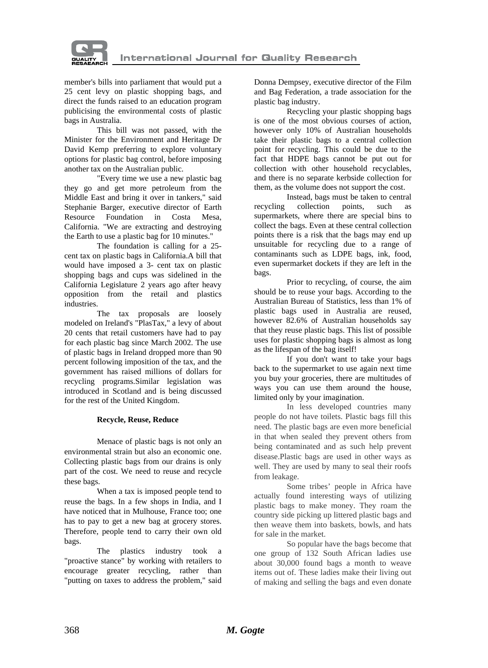

member's bills into parliament that would put a 25 cent levy on plastic shopping bags, and direct the funds raised to an education program publicising the environmental costs of plastic bags in Australia.

This bill was not passed, with the Minister for the Environment and Heritage Dr David Kemp preferring to explore voluntary options for plastic bag control, before imposing another tax on the Australian public.

"Every time we use a new plastic bag they go and get more petroleum from the Middle East and bring it over in tankers," said Stephanie Barger, executive director of Earth Resource Foundation in Costa Mesa, California. "We are extracting and destroying the Earth to use a plastic bag for 10 minutes."

The foundation is calling for a 25 cent tax on plastic bags in California.A bill that would have imposed a 3- cent tax on plastic shopping bags and cups was sidelined in the California Legislature 2 years ago after heavy opposition from the retail and plastics industries.

The tax proposals are loosely modeled on Ireland's "PlasTax," a levy of about 20 cents that retail customers have had to pay for each plastic bag since March 2002. The use of plastic bags in Ireland dropped more than 90 percent following imposition of the tax, and the government has raised millions of dollars for recycling programs.Similar legislation was introduced in Scotland and is being discussed for the rest of the United Kingdom.

### **Recycle, Reuse, Reduce**

Menace of plastic bags is not only an environmental strain but also an economic one. Collecting plastic bags from our drains is only part of the cost. We need to reuse and recycle these bags.

When a tax is imposed people tend to reuse the bags. In a few shops in India, and I have noticed that in Mulhouse, France too; one has to pay to get a new bag at grocery stores. Therefore, people tend to carry their own old bags.

The plastics industry took a "proactive stance" by working with retailers to encourage greater recycling, rather than "putting on taxes to address the problem," said Donna Dempsey, executive director of the Film and Bag Federation, a trade association for the plastic bag industry.

Recycling your plastic shopping bags is one of the most obvious courses of action, however only 10% of Australian households take their plastic bags to a central collection point for recycling. This could be due to the fact that HDPE bags cannot be put out for collection with other household recyclables, and there is no separate kerbside collection for them, as the volume does not support the cost.

Instead, bags must be taken to central recycling collection points, such as supermarkets, where there are special bins to collect the bags. Even at these central collection points there is a risk that the bags may end up unsuitable for recycling due to a range of contaminants such as LDPE bags, ink, food, even supermarket dockets if they are left in the bags.

Prior to recycling, of course, the aim should be to reuse your bags. According to the Australian Bureau of Statistics, less than 1% of plastic bags used in Australia are reused, however 82.6% of Australian households say that they reuse plastic bags. This list of possible uses for plastic shopping bags is almost as long as the lifespan of the bag itself!

If you don't want to take your bags back to the supermarket to use again next time you buy your groceries, there are multitudes of ways you can use them around the house, limited only by your imagination.

In less developed countries many people do not have toilets. Plastic bags fill this need. The plastic bags are even more beneficial in that when sealed they prevent others from being contaminated and as such help prevent disease.Plastic bags are used in other ways as well. They are used by many to seal their roofs from leakage.

Some tribes' people in Africa have actually found interesting ways of utilizing plastic bags to make money. They roam the country side picking up littered plastic bags and then weave them into baskets, bowls, and hats for sale in the market.

So popular have the bags become that one group of 132 South African ladies use about 30,000 found bags a month to weave items out of. These ladies make their living out of making and selling the bags and even donate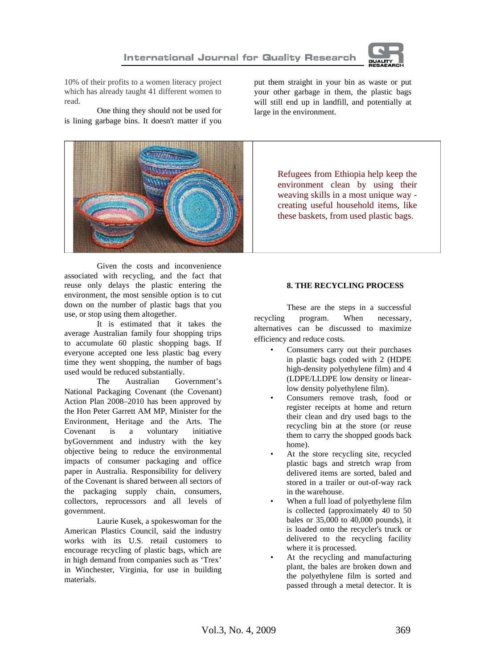

10% of their profits to a women literacy project which has already taught 41 different women to read.

One thing they should not be used for is lining garbage bins. It doesn't matter if you



Given the costs and inconvenience associated with recycling, and the fact that reuse only delays the plastic entering the environment, the most sensible option is to cut down on the number of plastic bags that you use, or stop using them altogether.

It is estimated that it takes the average Australian family four shopping trips to accumulate 60 plastic shopping bags. If everyone accepted one less plastic bag every time they went shopping, the number of bags used would be reduced substantially.

The Australian Government's National Packaging Covenant (the Covenant) Action Plan 2008–2010 has been approved by the Hon Peter Garrett AM MP, Minister for the Environment, Heritage and the Arts. The Covenant is a voluntary initiative byGovernment and industry with the key objective being to reduce the environmental impacts of consumer packaging and office paper in Australia. Responsibility for delivery of the Covenant is shared between all sectors of the packaging supply chain, consumers, collectors, reprocessors and all levels of government.

Laurie Kusek, a spokeswoman for the American Plastics Council, said the industry works with its U.S. retail customers to encourage recycling of plastic bags, which are in high demand from companies such as 'Trex' in Winchester, Virginia, for use in building materials.

put them straight in your bin as waste or put your other garbage in them, the plastic bags will still end up in landfill, and potentially at large in the environment.

> Refugees from Ethiopia help keep the environment clean by using their weaving skills in a most unique way creating useful household items, like these baskets, from used plastic bags.

### **8. THE RECYCLING PROCESS**

These are the steps in a successful recycling program. When necessary, alternatives can be discussed to maximize efficiency and reduce costs.

- Consumers carry out their purchases in plastic bags coded with 2 (HDPE high-density polyethylene film) and 4 (LDPE/LLDPE low density or linearlow density polyethylene film).
- Consumers remove trash, food or register receipts at home and return their clean and dry used bags to the recycling bin at the store (or reuse them to carry the shopped goods back home).
- At the store recycling site, recycled plastic bags and stretch wrap from delivered items are sorted, baled and stored in a trailer or out-of-way rack in the warehouse.
- When a full load of polyethylene film is collected (approximately 40 to 50 bales or 35,000 to 40,000 pounds), it is loaded onto the recycler's truck or delivered to the recycling facility where it is processed.
- At the recycling and manufacturing plant, the bales are broken down and the polyethylene film is sorted and passed through a metal detector. It is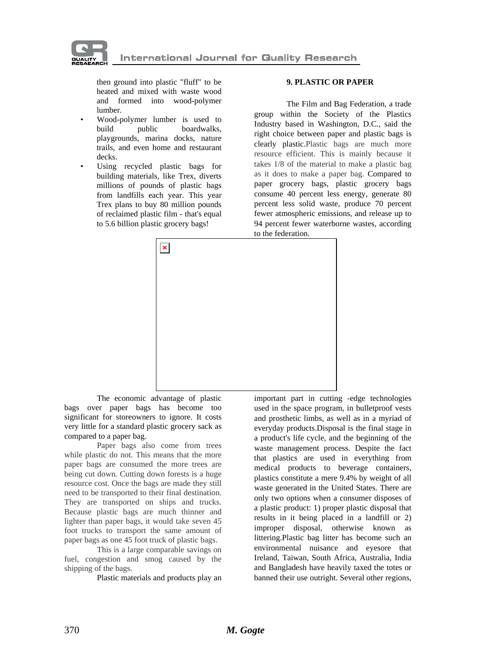

then ground into plastic "fluff" to be heated and mixed with waste wood and formed into wood-polymer lumber.

- Wood-polymer lumber is used to build public boardwalks, playgrounds, marina docks, nature trails, and even home and restaurant decks.
- Using recycled plastic bags for building materials, like Trex, diverts millions of pounds of plastic bags from landfills each year. This year Trex plans to buy 80 million pounds of reclaimed plastic film - that's equal to 5.6 billion plastic grocery bags!

#### **9. PLASTIC OR PAPER**

The Film and Bag Federation, a trade group within the Society of the Plastics Industry based in Washington, D.C., said the right choice between paper and plastic bags is clearly plastic.Plastic bags are much more resource efficient. This is mainly because it takes 1/8 of the material to make a plastic bag as it does to make a paper bag. Compared to paper grocery bags, plastic grocery bags consume 40 percent less energy, generate 80 percent less solid waste, produce 70 percent fewer atmospheric emissions, and release up to 94 percent fewer waterborne wastes, according to the federation.



The economic advantage of plastic bags over paper bags has become too significant for storeowners to ignore. It costs very little for a standard plastic grocery sack as compared to a paper bag.

Paper bags also come from trees while plastic do not. This means that the more paper bags are consumed the more trees are being cut down. Cutting down forests is a huge resource cost. Once the bags are made they still need to be transported to their final destination. They are transported on ships and trucks. Because plastic bags are much thinner and lighter than paper bags, it would take seven 45 foot trucks to transport the same amount of paper bags as one 45 foot truck of plastic bags.

This is a large comparable savings on fuel, congestion and smog caused by the shipping of the bags.

Plastic materials and products play an

important part in cutting -edge technologies used in the space program, in bulletproof vests and prosthetic limbs, as well as in a myriad of everyday products.Disposal is the final stage in a product's life cycle, and the beginning of the waste management process. Despite the fact that plastics are used in everything from medical products to beverage containers, plastics constitute a mere 9.4% by weight of all waste generated in the United States. There are only two options when a consumer disposes of a plastic product: 1) proper plastic disposal that results in it being placed in a landfill or 2) improper disposal, otherwise known as littering.Plastic bag litter has become such an environmental nuisance and eyesore that Ireland, Taiwan, South Africa, Australia, India and Bangladesh have heavily taxed the totes or banned their use outright. Several other regions,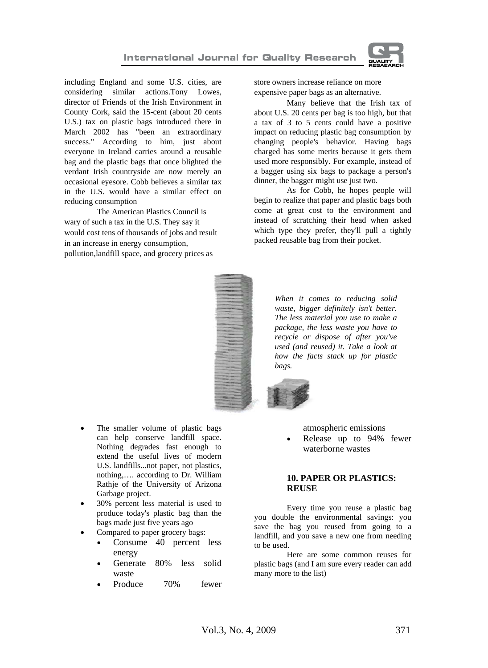

including England and some U.S. cities, are considering similar actions.Tony Lowes, director of Friends of the Irish Environment in County Cork, said the 15-cent (about 20 cents U.S.) tax on plastic bags introduced there in March 2002 has "been an extraordinary success." According to him, just about everyone in Ireland carries around a reusable bag and the plastic bags that once blighted the verdant Irish countryside are now merely an occasional eyesore. Cobb believes a similar tax in the U.S. would have a similar effect on reducing consumption

The American Plastics Council is wary of such a tax in the U.S. They say it would cost tens of thousands of jobs and result in an increase in energy consumption, pollution,landfill space, and grocery prices as

store owners increase reliance on more expensive paper bags as an alternative.

Many believe that the Irish tax of about U.S. 20 cents per bag is too high, but that a tax of 3 to 5 cents could have a positive impact on reducing plastic bag consumption by changing people's behavior. Having bags charged has some merits because it gets them used more responsibly. For example, instead of a bagger using six bags to package a person's dinner, the bagger might use just two.

As for Cobb, he hopes people will begin to realize that paper and plastic bags both come at great cost to the environment and instead of scratching their head when asked which type they prefer, they'll pull a tightly packed reusable bag from their pocket.



- The smaller volume of plastic bags can help conserve landfill space. Nothing degrades fast enough to extend the useful lives of modern U.S. landfills...not paper, not plastics, nothing,…. according to Dr. William Rathje of the University of Arizona Garbage project.
- 30% percent less material is used to produce today's plastic bag than the bags made just five years ago
- Compared to paper grocery bags:
	- Consume 40 percent less energy
	- Generate 80% less solid waste
	- Produce 70% fewer

atmospheric emissions

Release up to 94% fewer waterborne wastes

## **10. PAPER OR PLASTICS: REUSE**

Every time you reuse a plastic bag you double the environmental savings: you save the bag you reused from going to a landfill, and you save a new one from needing to be used.

 Here are some common reuses for plastic bags (and I am sure every reader can add many more to the list)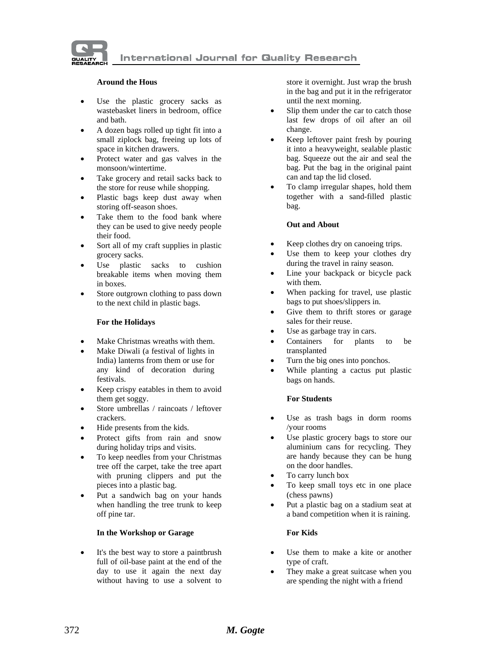

#### **Around the Hous**

- Use the plastic grocery sacks as wastebasket liners in bedroom, office and bath.
- A dozen bags rolled up tight fit into a small ziplock bag, freeing up lots of space in kitchen drawers.
- Protect water and gas valves in the monsoon/wintertime.
- Take grocery and retail sacks back to the store for reuse while shopping.
- Plastic bags keep dust away when storing off-season shoes.
- Take them to the food bank where they can be used to give needy people their food.
- Sort all of my craft supplies in plastic grocery sacks.
- Use plastic sacks to cushion breakable items when moving them in boxes.
- Store outgrown clothing to pass down to the next child in plastic bags.

#### **For the Holidays**

- Make Christmas wreaths with them.
- Make Diwali (a festival of lights in India) lanterns from them or use for any kind of decoration during festivals.
- Keep crispy eatables in them to avoid them get soggy.
- Store umbrellas / raincoats / leftover crackers.
- Hide presents from the kids.
- Protect gifts from rain and snow during holiday trips and visits.
- To keep needles from your Christmas tree off the carpet, take the tree apart with pruning clippers and put the pieces into a plastic bag.
- Put a sandwich bag on your hands when handling the tree trunk to keep off pine tar.

#### **In the Workshop or Garage**

It's the best way to store a paintbrush full of oil-base paint at the end of the day to use it again the next day without having to use a solvent to

store it overnight. Just wrap the brush in the bag and put it in the refrigerator until the next morning.

- Slip them under the car to catch those last few drops of oil after an oil change.
- Keep leftover paint fresh by pouring it into a heavyweight, sealable plastic bag. Squeeze out the air and seal the bag. Put the bag in the original paint can and tap the lid closed.
- To clamp irregular shapes, hold them together with a sand-filled plastic bag.

#### **Out and About**

- Keep clothes dry on canoeing trips.
- Use them to keep your clothes dry during the travel in rainy season.
- Line your backpack or bicycle pack with them.
- When packing for travel, use plastic bags to put shoes/slippers in.
- Give them to thrift stores or garage sales for their reuse.
- Use as garbage tray in cars.
- Containers for plants to be transplanted
- Turn the big ones into ponchos.
- While planting a cactus put plastic bags on hands.

#### **For Students**

- Use as trash bags in dorm rooms /your rooms
- Use plastic grocery bags to store our aluminium cans for recycling. They are handy because they can be hung on the door handles.
- To carry lunch box
- To keep small toys etc in one place (chess pawns)
- Put a plastic bag on a stadium seat at a band competition when it is raining.

#### **For Kids**

- Use them to make a kite or another type of craft.
- They make a great suitcase when you are spending the night with a friend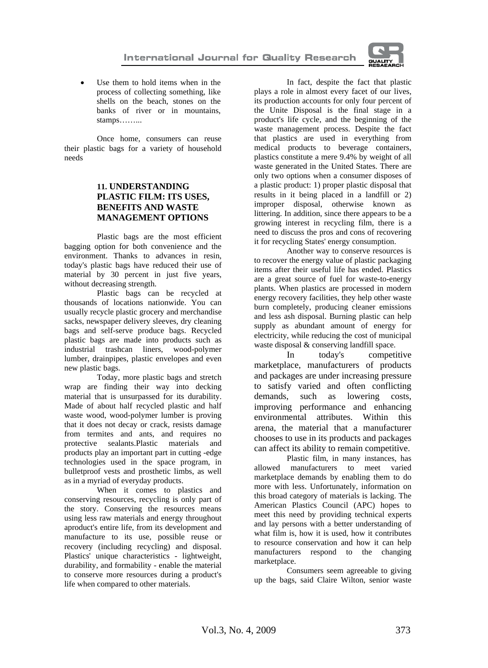

Use them to hold items when in the process of collecting something, like shells on the beach, stones on the banks of river or in mountains, stamps……...

 Once home, consumers can reuse their plastic bags for a variety of household needs

## **11. UNDERSTANDING PLASTIC FILM: ITS USES, BENEFITS AND WASTE MANAGEMENT OPTIONS**

 Plastic bags are the most efficient bagging option for both convenience and the environment. Thanks to advances in resin, today's plastic bags have reduced their use of material by 30 percent in just five years, without decreasing strength.

 Plastic bags can be recycled at thousands of locations nationwide. You can usually recycle plastic grocery and merchandise sacks, newspaper delivery sleeves, dry cleaning bags and self-serve produce bags. Recycled plastic bags are made into products such as industrial trashcan liners, wood-polymer lumber, drainpipes, plastic envelopes and even new plastic bags.

 Today, more plastic bags and stretch wrap are finding their way into decking material that is unsurpassed for its durability. Made of about half recycled plastic and half waste wood, wood-polymer lumber is proving that it does not decay or crack, resists damage from termites and ants, and requires no protective sealants.Plastic materials and products play an important part in cutting -edge technologies used in the space program, in bulletproof vests and prosthetic limbs, as well as in a myriad of everyday products.

 When it comes to plastics and conserving resources, recycling is only part of the story. Conserving the resources means using less raw materials and energy throughout aproduct's entire life, from its development and manufacture to its use, possible reuse or recovery (including recycling) and disposal. Plastics' unique characteristics - lightweight, durability, and formability - enable the material to conserve more resources during a product's life when compared to other materials.

 In fact, despite the fact that plastic plays a role in almost every facet of our lives, its production accounts for only four percent of the Unite Disposal is the final stage in a product's life cycle, and the beginning of the waste management process. Despite the fact that plastics are used in everything from medical products to beverage containers, plastics constitute a mere 9.4% by weight of all waste generated in the United States. There are only two options when a consumer disposes of a plastic product: 1) proper plastic disposal that results in it being placed in a landfill or 2) improper disposal, otherwise known as littering. In addition, since there appears to be a growing interest in recycling film, there is a need to discuss the pros and cons of recovering it for recycling States' energy consumption.

 Another way to conserve resources is to recover the energy value of plastic packaging items after their useful life has ended. Plastics are a great source of fuel for waste-to-energy plants. When plastics are processed in modern energy recovery facilities, they help other waste burn completely, producing cleaner emissions and less ash disposal. Burning plastic can help supply as abundant amount of energy for electricity, while reducing the cost of municipal waste disposal & conserving landfill space.

 In today's competitive marketplace, manufacturers of products and packages are under increasing pressure to satisfy varied and often conflicting demands, such as lowering costs, improving performance and enhancing environmental attributes. Within this arena, the material that a manufacturer chooses to use in its products and packages can affect its ability to remain competitive.

 Plastic film, in many instances, has allowed manufacturers to meet varied marketplace demands by enabling them to do more with less. Unfortunately, information on this broad category of materials is lacking. The American Plastics Council (APC) hopes to meet this need by providing technical experts and lay persons with a better understanding of what film is, how it is used, how it contributes to resource conservation and how it can help manufacturers respond to the changing marketplace.

 Consumers seem agreeable to giving up the bags, said Claire Wilton, senior waste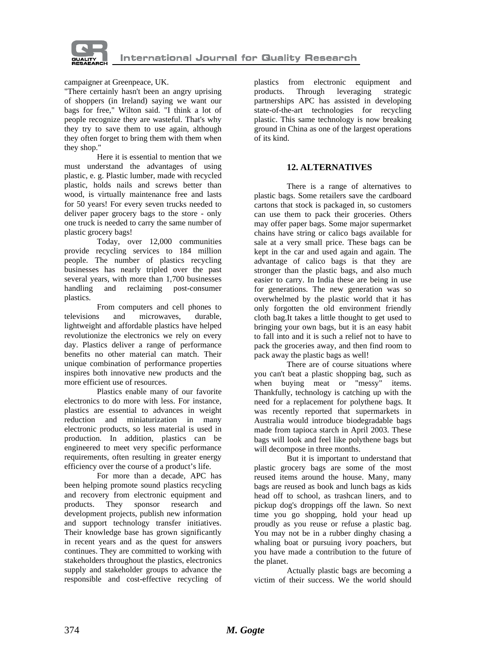

campaigner at Greenpeace, UK.

"There certainly hasn't been an angry uprising of shoppers (in Ireland) saying we want our bags for free," Wilton said. "I think a lot of people recognize they are wasteful. That's why they try to save them to use again, although they often forget to bring them with them when they shop."

 Here it is essential to mention that we must understand the advantages of using plastic, e. g. Plastic lumber, made with recycled plastic, holds nails and screws better than wood, is virtually maintenance free and lasts for 50 years! For every seven trucks needed to deliver paper grocery bags to the store - only one truck is needed to carry the same number of plastic grocery bags!

 Today, over 12,000 communities provide recycling services to 184 million people. The number of plastics recycling businesses has nearly tripled over the past several years, with more than 1,700 businesses handling and reclaiming post-consumer plastics.

 From computers and cell phones to televisions and microwaves, durable, lightweight and affordable plastics have helped revolutionize the electronics we rely on every day. Plastics deliver a range of performance benefits no other material can match. Their unique combination of performance properties inspires both innovative new products and the more efficient use of resources.

 Plastics enable many of our favorite electronics to do more with less. For instance, plastics are essential to advances in weight reduction and miniaturization in many electronic products, so less material is used in production. In addition, plastics can be engineered to meet very specific performance requirements, often resulting in greater energy efficiency over the course of a product's life.

 For more than a decade, APC has been helping promote sound plastics recycling and recovery from electronic equipment and products. They sponsor research and development projects, publish new information and support technology transfer initiatives. Their knowledge base has grown significantly in recent years and as the quest for answers continues. They are committed to working with stakeholders throughout the plastics, electronics supply and stakeholder groups to advance the responsible and cost-effective recycling of plastics from electronic equipment and products. Through leveraging strategic partnerships APC has assisted in developing state-of-the-art technologies for recycling plastic. This same technology is now breaking ground in China as one of the largest operations of its kind.

## **12. ALTERNATIVES**

 There is a range of alternatives to plastic bags. Some retailers save the cardboard cartons that stock is packaged in, so customers can use them to pack their groceries. Others may offer paper bags. Some major supermarket chains have string or calico bags available for sale at a very small price. These bags can be kept in the car and used again and again. The advantage of calico bags is that they are stronger than the plastic bags, and also much easier to carry. In India these are being in use for generations. The new generation was so overwhelmed by the plastic world that it has only forgotten the old environment friendly cloth bag.It takes a little thought to get used to bringing your own bags, but it is an easy habit to fall into and it is such a relief not to have to pack the groceries away, and then find room to pack away the plastic bags as well!

 There are of course situations where you can't beat a plastic shopping bag, such as when buying meat or "messy" items. Thankfully, technology is catching up with the need for a replacement for polythene bags. It was recently reported that supermarkets in Australia would introduce biodegradable bags made from tapioca starch in April 2003. These bags will look and feel like polythene bags but will decompose in three months.

 But it is important to understand that plastic grocery bags are some of the most reused items around the house. Many, many bags are reused as book and lunch bags as kids head off to school, as trashcan liners, and to pickup dog's droppings off the lawn. So next time you go shopping, hold your head up proudly as you reuse or refuse a plastic bag. You may not be in a rubber dinghy chasing a whaling boat or pursuing ivory poachers, but you have made a contribution to the future of the planet.

 Actually plastic bags are becoming a victim of their success. We the world should